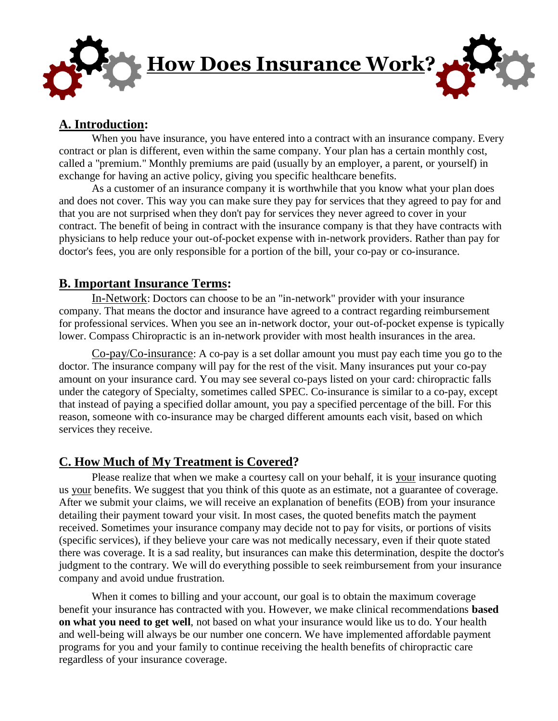

## **A. Introduction:**

When you have insurance, you have entered into a contract with an insurance company. Every contract or plan is different, even within the same company. Your plan has a certain monthly cost, called a "premium." Monthly premiums are paid (usually by an employer, a parent, or yourself) in exchange for having an active policy, giving you specific healthcare benefits.

As a customer of an insurance company it is worthwhile that you know what your plan does and does not cover. This way you can make sure they pay for services that they agreed to pay for and that you are not surprised when they don't pay for services they never agreed to cover in your contract. The benefit of being in contract with the insurance company is that they have contracts with physicians to help reduce your out-of-pocket expense with in-network providers. Rather than pay for doctor's fees, you are only responsible for a portion of the bill, your co-pay or co-insurance.

### **B. Important Insurance Terms:**

In-Network: Doctors can choose to be an "in-network" provider with your insurance company. That means the doctor and insurance have agreed to a contract regarding reimbursement for professional services. When you see an in-network doctor, your out-of-pocket expense is typically lower. Compass Chiropractic is an in-network provider with most health insurances in the area.

Co-pay/Co-insurance: A co-pay is a set dollar amount you must pay each time you go to the doctor. The insurance company will pay for the rest of the visit. Many insurances put your co-pay amount on your insurance card. You may see several co-pays listed on your card: chiropractic falls under the category of Specialty, sometimes called SPEC. Co-insurance is similar to a co-pay, except that instead of paying a specified dollar amount, you pay a specified percentage of the bill. For this reason, someone with co-insurance may be charged different amounts each visit, based on which services they receive.

## **C. How Much of My Treatment is Covered?**

Please realize that when we make a courtesy call on your behalf, it is your insurance quoting us your benefits. We suggest that you think of this quote as an estimate, not a guarantee of coverage. After we submit your claims, we will receive an explanation of benefits (EOB) from your insurance detailing their payment toward your visit. In most cases, the quoted benefits match the payment received. Sometimes your insurance company may decide not to pay for visits, or portions of visits (specific services), if they believe your care was not medically necessary, even if their quote stated there was coverage. It is a sad reality, but insurances can make this determination, despite the doctor's judgment to the contrary. We will do everything possible to seek reimbursement from your insurance company and avoid undue frustration.

When it comes to billing and your account, our goal is to obtain the maximum coverage benefit your insurance has contracted with you. However, we make clinical recommendations **based on what you need to get well**, not based on what your insurance would like us to do. Your health and well-being will always be our number one concern. We have implemented affordable payment programs for you and your family to continue receiving the health benefits of chiropractic care regardless of your insurance coverage.